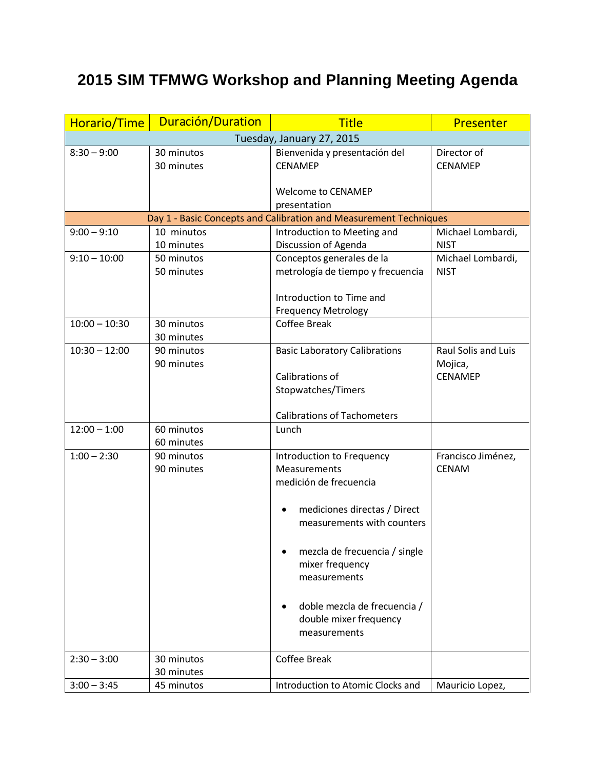## **2015 SIM TFMWG Workshop and Planning Meeting Agenda**

| Horario/Time                                                      | Duración/Duration        | <b>Title</b>                                                                                                                                                                                                                                                                         | Presenter                                        |  |  |
|-------------------------------------------------------------------|--------------------------|--------------------------------------------------------------------------------------------------------------------------------------------------------------------------------------------------------------------------------------------------------------------------------------|--------------------------------------------------|--|--|
| Tuesday, January 27, 2015                                         |                          |                                                                                                                                                                                                                                                                                      |                                                  |  |  |
| $8:30 - 9:00$                                                     | 30 minutos<br>30 minutes | Bienvenida y presentación del<br><b>CENAMEP</b>                                                                                                                                                                                                                                      | Director of<br><b>CENAMEP</b>                    |  |  |
|                                                                   |                          | <b>Welcome to CENAMEP</b><br>presentation                                                                                                                                                                                                                                            |                                                  |  |  |
| Day 1 - Basic Concepts and Calibration and Measurement Techniques |                          |                                                                                                                                                                                                                                                                                      |                                                  |  |  |
| $9:00 - 9:10$                                                     | 10 minutos<br>10 minutes | Introduction to Meeting and<br>Discussion of Agenda                                                                                                                                                                                                                                  | Michael Lombardi,<br><b>NIST</b>                 |  |  |
| $9:10 - 10:00$                                                    | 50 minutos<br>50 minutes | Conceptos generales de la<br>metrología de tiempo y frecuencia                                                                                                                                                                                                                       | Michael Lombardi,<br><b>NIST</b>                 |  |  |
|                                                                   |                          | Introduction to Time and<br><b>Frequency Metrology</b>                                                                                                                                                                                                                               |                                                  |  |  |
| $10:00 - 10:30$                                                   | 30 minutos<br>30 minutes | <b>Coffee Break</b>                                                                                                                                                                                                                                                                  |                                                  |  |  |
| $10:30 - 12:00$                                                   | 90 minutos<br>90 minutes | <b>Basic Laboratory Calibrations</b><br>Calibrations of<br>Stopwatches/Timers                                                                                                                                                                                                        | Raul Solis and Luis<br>Mojica,<br><b>CENAMEP</b> |  |  |
|                                                                   |                          | <b>Calibrations of Tachometers</b>                                                                                                                                                                                                                                                   |                                                  |  |  |
| $12:00 - 1:00$                                                    | 60 minutos<br>60 minutes | Lunch                                                                                                                                                                                                                                                                                |                                                  |  |  |
| $1:00 - 2:30$                                                     | 90 minutos<br>90 minutes | Introduction to Frequency<br>Measurements<br>medición de frecuencia<br>mediciones directas / Direct<br>measurements with counters<br>mezcla de frecuencia / single<br>٠<br>mixer frequency<br>measurements<br>doble mezcla de frecuencia /<br>double mixer frequency<br>measurements | Francisco Jiménez,<br><b>CENAM</b>               |  |  |
| $2:30 - 3:00$                                                     | 30 minutos<br>30 minutes | Coffee Break                                                                                                                                                                                                                                                                         |                                                  |  |  |
| $3:00 - 3:45$                                                     | 45 minutos               | Introduction to Atomic Clocks and                                                                                                                                                                                                                                                    | Mauricio Lopez,                                  |  |  |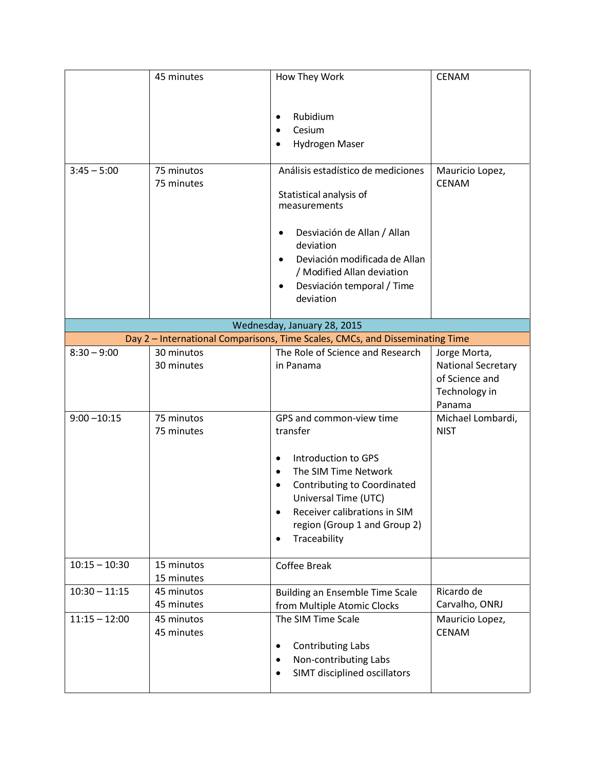|                 | 45 minutes               | How They Work                                                                | <b>CENAM</b>                    |
|-----------------|--------------------------|------------------------------------------------------------------------------|---------------------------------|
|                 |                          |                                                                              |                                 |
|                 |                          | Rubidium                                                                     |                                 |
|                 |                          | Cesium                                                                       |                                 |
|                 |                          | Hydrogen Maser                                                               |                                 |
| $3:45 - 5:00$   | 75 minutos<br>75 minutes | Análisis estadístico de mediciones                                           | Mauricio Lopez,<br><b>CENAM</b> |
|                 |                          | Statistical analysis of                                                      |                                 |
|                 |                          | measurements                                                                 |                                 |
|                 |                          | Desviación de Allan / Allan                                                  |                                 |
|                 |                          | deviation                                                                    |                                 |
|                 |                          | Deviación modificada de Allan                                                |                                 |
|                 |                          | / Modified Allan deviation                                                   |                                 |
|                 |                          | Desviación temporal / Time                                                   |                                 |
|                 |                          | deviation                                                                    |                                 |
|                 |                          | Wednesday, January 28, 2015                                                  |                                 |
|                 |                          | Day 2 - International Comparisons, Time Scales, CMCs, and Disseminating Time |                                 |
| $8:30 - 9:00$   | 30 minutos               | The Role of Science and Research                                             | Jorge Morta,                    |
|                 | 30 minutes               | in Panama                                                                    | <b>National Secretary</b>       |
|                 |                          |                                                                              | of Science and                  |
|                 |                          |                                                                              | Technology in                   |
|                 |                          |                                                                              | Panama                          |
| $9:00 - 10:15$  | 75 minutos               | GPS and common-view time                                                     | Michael Lombardi,               |
|                 | 75 minutes               | transfer                                                                     | <b>NIST</b>                     |
|                 |                          | Introduction to GPS<br>٠                                                     |                                 |
|                 |                          | The SIM Time Network<br>$\bullet$                                            |                                 |
|                 |                          | Contributing to Coordinated                                                  |                                 |
|                 |                          | Universal Time (UTC)                                                         |                                 |
|                 |                          | Receiver calibrations in SIM<br>$\bullet$                                    |                                 |
|                 |                          | region (Group 1 and Group 2)                                                 |                                 |
|                 |                          | Traceability<br>$\bullet$                                                    |                                 |
| $10:15 - 10:30$ | 15 minutos               | <b>Coffee Break</b>                                                          |                                 |
|                 | 15 minutes               |                                                                              |                                 |
| $10:30 - 11:15$ | 45 minutos               | <b>Building an Ensemble Time Scale</b>                                       | Ricardo de                      |
|                 | 45 minutes               | from Multiple Atomic Clocks                                                  | Carvalho, ONRJ                  |
| $11:15 - 12:00$ | 45 minutos               | The SIM Time Scale                                                           | Mauricio Lopez,                 |
|                 | 45 minutes               |                                                                              | <b>CENAM</b>                    |
|                 |                          | <b>Contributing Labs</b><br>$\bullet$                                        |                                 |
|                 |                          | Non-contributing Labs<br>$\bullet$                                           |                                 |
|                 |                          | SIMT disciplined oscillators                                                 |                                 |
|                 |                          |                                                                              |                                 |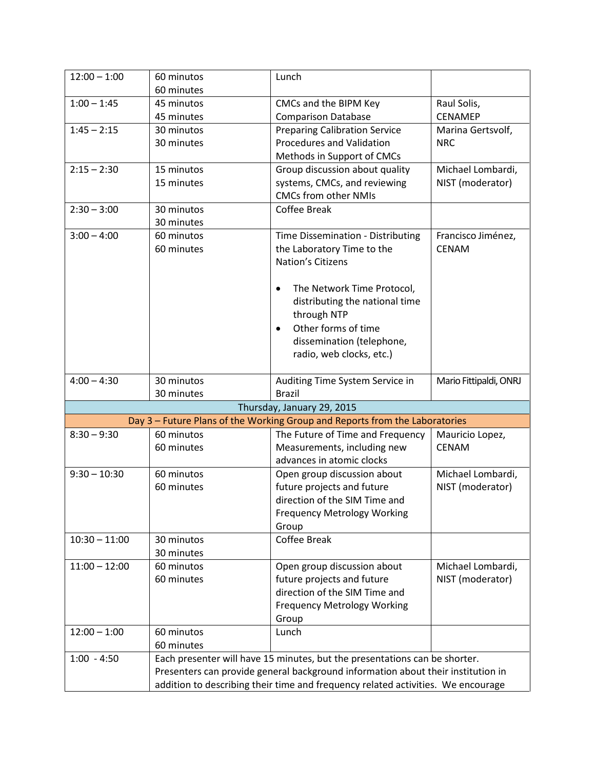| $12:00 - 1:00$  | 60 minutos                                                                                                                                                     | Lunch                                                                       |                        |
|-----------------|----------------------------------------------------------------------------------------------------------------------------------------------------------------|-----------------------------------------------------------------------------|------------------------|
|                 | 60 minutes                                                                                                                                                     |                                                                             |                        |
| $1:00 - 1:45$   | 45 minutos                                                                                                                                                     | CMCs and the BIPM Key                                                       | Raul Solis,            |
|                 | 45 minutes                                                                                                                                                     | <b>Comparison Database</b>                                                  | <b>CENAMEP</b>         |
| $1:45 - 2:15$   | 30 minutos                                                                                                                                                     | <b>Preparing Calibration Service</b>                                        | Marina Gertsvolf,      |
|                 | 30 minutes                                                                                                                                                     | Procedures and Validation                                                   | <b>NRC</b>             |
|                 |                                                                                                                                                                | Methods in Support of CMCs                                                  |                        |
| $2:15 - 2:30$   | 15 minutos                                                                                                                                                     | Group discussion about quality                                              | Michael Lombardi,      |
|                 | 15 minutes                                                                                                                                                     | systems, CMCs, and reviewing                                                | NIST (moderator)       |
|                 |                                                                                                                                                                | <b>CMCs from other NMIs</b>                                                 |                        |
| $2:30 - 3:00$   | 30 minutos                                                                                                                                                     | Coffee Break                                                                |                        |
|                 | 30 minutes                                                                                                                                                     |                                                                             |                        |
| $3:00 - 4:00$   | 60 minutos                                                                                                                                                     | Time Dissemination - Distributing                                           | Francisco Jiménez,     |
|                 | 60 minutes                                                                                                                                                     | the Laboratory Time to the                                                  | <b>CENAM</b>           |
|                 |                                                                                                                                                                | Nation's Citizens                                                           |                        |
|                 |                                                                                                                                                                | The Network Time Protocol,<br>$\bullet$                                     |                        |
|                 |                                                                                                                                                                | distributing the national time                                              |                        |
|                 |                                                                                                                                                                | through NTP                                                                 |                        |
|                 |                                                                                                                                                                | Other forms of time<br>$\bullet$                                            |                        |
|                 |                                                                                                                                                                | dissemination (telephone,                                                   |                        |
|                 |                                                                                                                                                                | radio, web clocks, etc.)                                                    |                        |
|                 |                                                                                                                                                                |                                                                             |                        |
| $4:00 - 4:30$   | 30 minutos                                                                                                                                                     | Auditing Time System Service in                                             | Mario Fittipaldi, ONRJ |
|                 | 30 minutes                                                                                                                                                     | <b>Brazil</b>                                                               |                        |
|                 |                                                                                                                                                                | Thursday, January 29, 2015                                                  |                        |
|                 |                                                                                                                                                                | Day 3 - Future Plans of the Working Group and Reports from the Laboratories |                        |
| $8:30 - 9:30$   | 60 minutos                                                                                                                                                     | The Future of Time and Frequency                                            | Mauricio Lopez,        |
|                 | 60 minutes                                                                                                                                                     | Measurements, including new                                                 | <b>CENAM</b>           |
|                 |                                                                                                                                                                | advances in atomic clocks                                                   |                        |
| $9:30 - 10:30$  | 60 minutos                                                                                                                                                     | Open group discussion about                                                 | Michael Lombardi,      |
|                 | 60 minutes                                                                                                                                                     | future projects and future                                                  | NIST (moderator)       |
|                 |                                                                                                                                                                | direction of the SIM Time and                                               |                        |
|                 |                                                                                                                                                                | <b>Frequency Metrology Working</b>                                          |                        |
|                 |                                                                                                                                                                | Group                                                                       |                        |
| $10:30 - 11:00$ | 30 minutos                                                                                                                                                     | Coffee Break                                                                |                        |
|                 | 30 minutes                                                                                                                                                     |                                                                             |                        |
| $11:00 - 12:00$ | 60 minutos                                                                                                                                                     | Open group discussion about                                                 | Michael Lombardi,      |
|                 | 60 minutes                                                                                                                                                     | future projects and future                                                  | NIST (moderator)       |
|                 |                                                                                                                                                                | direction of the SIM Time and                                               |                        |
|                 |                                                                                                                                                                | <b>Frequency Metrology Working</b>                                          |                        |
|                 |                                                                                                                                                                | Group                                                                       |                        |
| $12:00 - 1:00$  | 60 minutos                                                                                                                                                     | Lunch                                                                       |                        |
|                 | 60 minutes                                                                                                                                                     |                                                                             |                        |
| $1:00 - 4:50$   | Each presenter will have 15 minutes, but the presentations can be shorter.<br>Presenters can provide general background information about their institution in |                                                                             |                        |
|                 |                                                                                                                                                                |                                                                             |                        |
|                 | addition to describing their time and frequency related activities. We encourage                                                                               |                                                                             |                        |